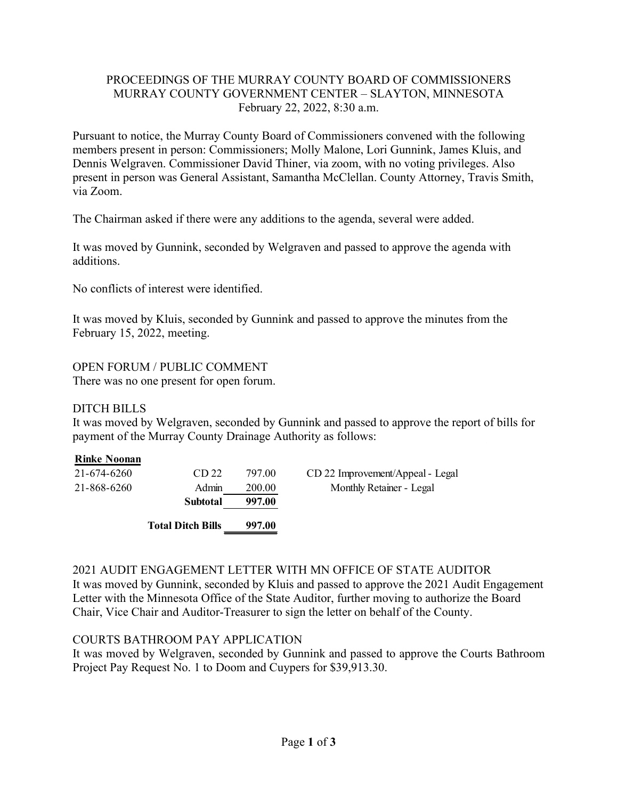## PROCEEDINGS OF THE MURRAY COUNTY BOARD OF COMMISSIONERS MURRAY COUNTY GOVERNMENT CENTER – SLAYTON, MINNESOTA February 22, 2022, 8:30 a.m.

Pursuant to notice, the Murray County Board of Commissioners convened with the following members present in person: Commissioners; Molly Malone, Lori Gunnink, James Kluis, and Dennis Welgraven. Commissioner David Thiner, via zoom, with no voting privileges. Also present in person was General Assistant, Samantha McClellan. County Attorney, Travis Smith, via Zoom.

The Chairman asked if there were any additions to the agenda, several were added.

It was moved by Gunnink, seconded by Welgraven and passed to approve the agenda with additions.

No conflicts of interest were identified.

It was moved by Kluis, seconded by Gunnink and passed to approve the minutes from the February 15, 2022, meeting.

OPEN FORUM / PUBLIC COMMENT There was no one present for open forum.

# DITCH BILLS

It was moved by Welgraven, seconded by Gunnink and passed to approve the report of bills for payment of the Murray County Drainage Authority as follows:

| <b>Rinke Noonan</b><br>21-674-6260 | CD <sub>22</sub>         | 797.00 | CD 22 Improvement/Appeal - Legal |
|------------------------------------|--------------------------|--------|----------------------------------|
| 21-868-6260                        | Admin                    | 200.00 | Monthly Retainer - Legal         |
|                                    | Subtotal                 | 997.00 |                                  |
|                                    | <b>Total Ditch Bills</b> | 997.00 |                                  |

## 2021 AUDIT ENGAGEMENT LETTER WITH MN OFFICE OF STATE AUDITOR

It was moved by Gunnink, seconded by Kluis and passed to approve the 2021 Audit Engagement Letter with the Minnesota Office of the State Auditor, further moving to authorize the Board Chair, Vice Chair and Auditor-Treasurer to sign the letter on behalf of the County.

# COURTS BATHROOM PAY APPLICATION

It was moved by Welgraven, seconded by Gunnink and passed to approve the Courts Bathroom Project Pay Request No. 1 to Doom and Cuypers for \$39,913.30.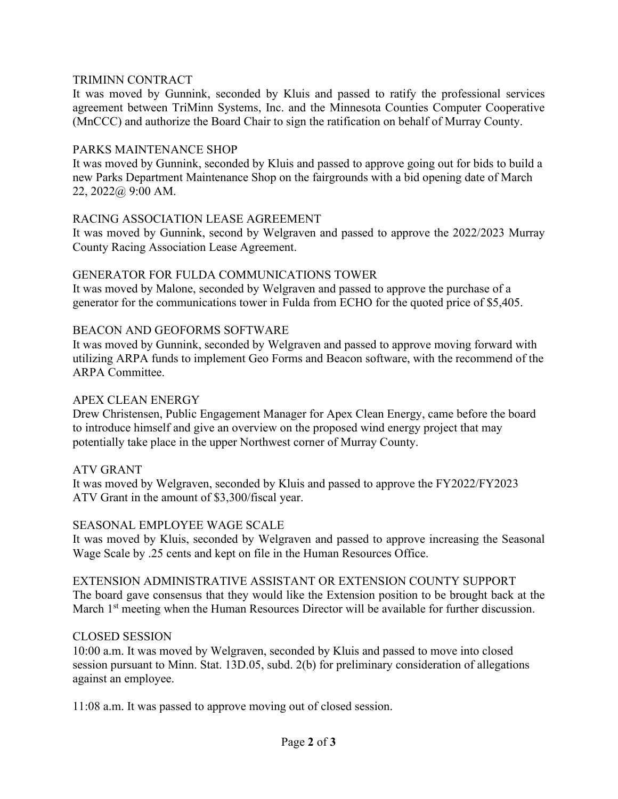## TRIMINN CONTRACT

It was moved by Gunnink, seconded by Kluis and passed to ratify the professional services agreement between TriMinn Systems, Inc. and the Minnesota Counties Computer Cooperative (MnCCC) and authorize the Board Chair to sign the ratification on behalf of Murray County.

### PARKS MAINTENANCE SHOP

It was moved by Gunnink, seconded by Kluis and passed to approve going out for bids to build a new Parks Department Maintenance Shop on the fairgrounds with a bid opening date of March 22, 2022@ 9:00 AM.

## RACING ASSOCIATION LEASE AGREEMENT

It was moved by Gunnink, second by Welgraven and passed to approve the 2022/2023 Murray County Racing Association Lease Agreement.

## GENERATOR FOR FULDA COMMUNICATIONS TOWER

It was moved by Malone, seconded by Welgraven and passed to approve the purchase of a generator for the communications tower in Fulda from ECHO for the quoted price of \$5,405.

## BEACON AND GEOFORMS SOFTWARE

It was moved by Gunnink, seconded by Welgraven and passed to approve moving forward with utilizing ARPA funds to implement Geo Forms and Beacon software, with the recommend of the ARPA Committee.

### APEX CLEAN ENERGY

Drew Christensen, Public Engagement Manager for Apex Clean Energy, came before the board to introduce himself and give an overview on the proposed wind energy project that may potentially take place in the upper Northwest corner of Murray County.

### ATV GRANT

It was moved by Welgraven, seconded by Kluis and passed to approve the FY2022/FY2023 ATV Grant in the amount of \$3,300/fiscal year.

### SEASONAL EMPLOYEE WAGE SCALE

It was moved by Kluis, seconded by Welgraven and passed to approve increasing the Seasonal Wage Scale by .25 cents and kept on file in the Human Resources Office.

### EXTENSION ADMINISTRATIVE ASSISTANT OR EXTENSION COUNTY SUPPORT

The board gave consensus that they would like the Extension position to be brought back at the March 1<sup>st</sup> meeting when the Human Resources Director will be available for further discussion.

### CLOSED SESSION

10:00 a.m. It was moved by Welgraven, seconded by Kluis and passed to move into closed session pursuant to Minn. Stat. 13D.05, subd. 2(b) for preliminary consideration of allegations against an employee.

11:08 a.m. It was passed to approve moving out of closed session.